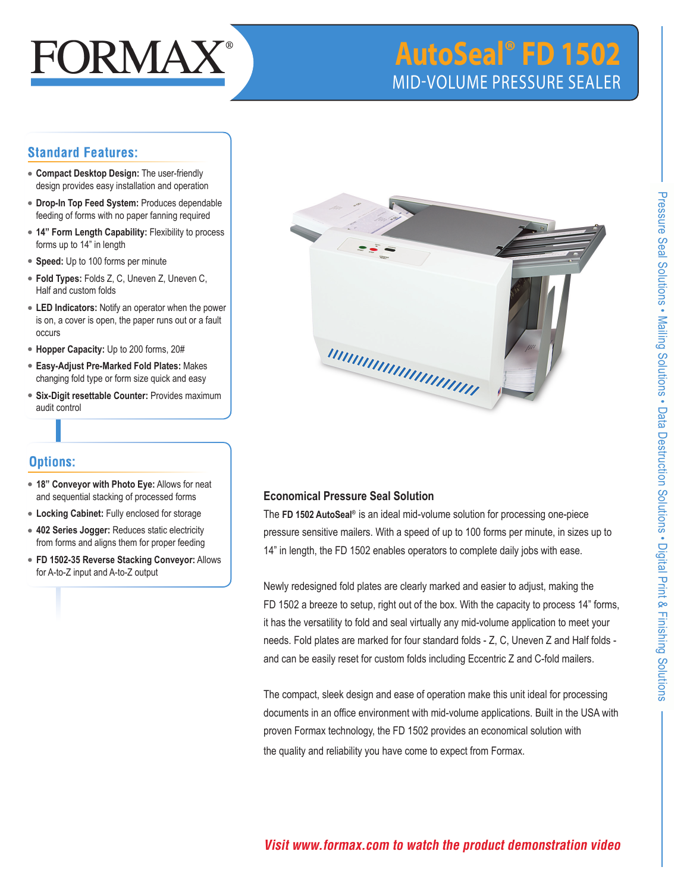

# **AutoSeal® FD 1502** MID-VOLUME PRESSURE SEALER

## **Standard Features:**

- **Compact Desktop Design:** The user-friendly design provides easy installation and operation
- **Drop-In Top Feed System:** Produces dependable feeding of forms with no paper fanning required
- **14" Form Length Capability:** Flexibility to process forms up to 14" in length
- **Speed:** Up to 100 forms per minute
- **Fold Types:** Folds Z, C, Uneven Z, Uneven C, Half and custom folds
- **LED Indicators:** Notify an operator when the power is on, a cover is open, the paper runs out or a fault occurs
- **Hopper Capacity:** Up to 200 forms, 20#
- **Easy-Adjust Pre-Marked Fold Plates:** Makes changing fold type or form size quick and easy
- **Six-Digit resettable Counter:** Provides maximum audit control

# **Options:**

- **18" Conveyor with Photo Eye:** Allows for neat and sequential stacking of processed forms
- **Locking Cabinet:** Fully enclosed for storage
- **402 Series Jogger:** Reduces static electricity from forms and aligns them for proper feeding
- **FD 1502-35 Reverse Stacking Conveyor:** Allows for A-to-Z input and A-to-Z output



### **Economical Pressure Seal Solution**

The **FD 1502 AutoSeal®** is an ideal mid-volume solution for processing one-piece pressure sensitive mailers. With a speed of up to 100 forms per minute, in sizes up to 14" in length, the FD 1502 enables operators to complete daily jobs with ease.

Newly redesigned fold plates are clearly marked and easier to adjust, making the FD 1502 a breeze to setup, right out of the box. With the capacity to process 14" forms, it has the versatility to fold and seal virtually any mid-volume application to meet your needs. Fold plates are marked for four standard folds - Z, C, Uneven Z and Half folds and can be easily reset for custom folds including Eccentric Z and C-fold mailers.

The compact, sleek design and ease of operation make this unit ideal for processing documents in an office environment with mid-volume applications. Built in the USA with proven Formax technology, the FD 1502 provides an economical solution with the quality and reliability you have come to expect from Formax.

# **Visit www.formax.com to watch the product demonstration video**